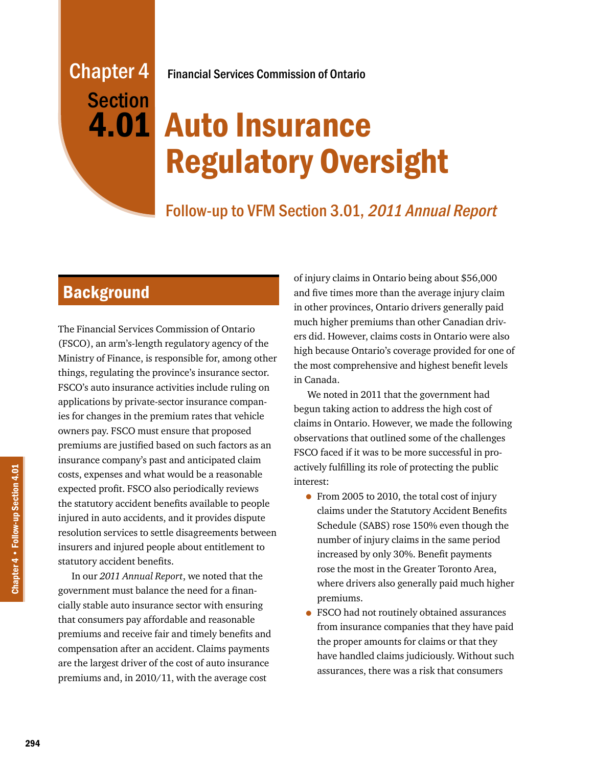# **Section**

## Chapter 4 Financial Services Commission of Ontario

# 4.01 Auto Insurance Regulatory Oversight

# Follow-up to VFM Section 3.01, 2011 Annual Report

# **Background**

The Financial Services Commission of Ontario (FSCO), an arm's-length regulatory agency of the Ministry of Finance, is responsible for, among other things, regulating the province's insurance sector. FSCO's auto insurance activities include ruling on applications by private-sector insurance companies for changes in the premium rates that vehicle owners pay. FSCO must ensure that proposed premiums are justified based on such factors as an insurance company's past and anticipated claim costs, expenses and what would be a reasonable expected profit. FSCO also periodically reviews the statutory accident benefits available to people injured in auto accidents, and it provides dispute resolution services to settle disagreements between insurers and injured people about entitlement to statutory accident benefits.

In our *2011 Annual Report*, we noted that the government must balance the need for a financially stable auto insurance sector with ensuring that consumers pay affordable and reasonable premiums and receive fair and timely benefits and compensation after an accident. Claims payments are the largest driver of the cost of auto insurance premiums and, in 2010/11, with the average cost

of injury claims in Ontario being about \$56,000 and five times more than the average injury claim in other provinces, Ontario drivers generally paid much higher premiums than other Canadian drivers did. However, claims costs in Ontario were also high because Ontario's coverage provided for one of the most comprehensive and highest benefit levels in Canada.

We noted in 2011 that the government had begun taking action to address the high cost of claims in Ontario. However, we made the following observations that outlined some of the challenges FSCO faced if it was to be more successful in proactively fulfilling its role of protecting the public interest:

- From 2005 to 2010, the total cost of injury claims under the Statutory Accident Benefits Schedule (SABS) rose 150% even though the number of injury claims in the same period increased by only 30%. Benefit payments rose the most in the Greater Toronto Area, where drivers also generally paid much higher premiums.
- FSCO had not routinely obtained assurances from insurance companies that they have paid the proper amounts for claims or that they have handled claims judiciously. Without such assurances, there was a risk that consumers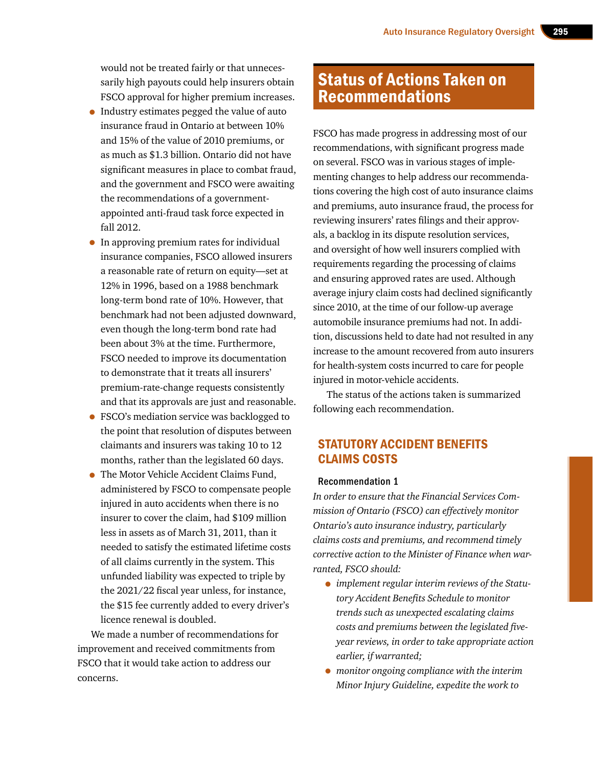would not be treated fairly or that unnecessarily high payouts could help insurers obtain FSCO approval for higher premium increases.

- Industry estimates pegged the value of auto insurance fraud in Ontario at between 10% and 15% of the value of 2010 premiums, or as much as \$1.3 billion. Ontario did not have significant measures in place to combat fraud, and the government and FSCO were awaiting the recommendations of a governmentappointed anti-fraud task force expected in fall 2012.
- In approving premium rates for individual insurance companies, FSCO allowed insurers a reasonable rate of return on equity—set at 12% in 1996, based on a 1988 benchmark long-term bond rate of 10%. However, that benchmark had not been adjusted downward, even though the long-term bond rate had been about 3% at the time. Furthermore, FSCO needed to improve its documentation to demonstrate that it treats all insurers' premium-rate-change requests consistently and that its approvals are just and reasonable.
- FSCO's mediation service was backlogged to the point that resolution of disputes between claimants and insurers was taking 10 to 12 months, rather than the legislated 60 days.
- The Motor Vehicle Accident Claims Fund, administered by FSCO to compensate people injured in auto accidents when there is no insurer to cover the claim, had \$109 million less in assets as of March 31, 2011, than it needed to satisfy the estimated lifetime costs of all claims currently in the system. This unfunded liability was expected to triple by the 2021/22 fiscal year unless, for instance, the \$15 fee currently added to every driver's licence renewal is doubled.

We made a number of recommendations for improvement and received commitments from FSCO that it would take action to address our concerns.

### Status of Actions Taken on Recommendations

FSCO has made progress in addressing most of our recommendations, with significant progress made on several. FSCO was in various stages of implementing changes to help address our recommendations covering the high cost of auto insurance claims and premiums, auto insurance fraud, the process for reviewing insurers' rates filings and their approvals, a backlog in its dispute resolution services, and oversight of how well insurers complied with requirements regarding the processing of claims and ensuring approved rates are used. Although average injury claim costs had declined significantly since 2010, at the time of our follow-up average automobile insurance premiums had not. In addition, discussions held to date had not resulted in any increase to the amount recovered from auto insurers for health-system costs incurred to care for people injured in motor-vehicle accidents.

The status of the actions taken is summarized following each recommendation.

#### STATUTORY ACCIDENT BENEFITS CLAIMS COSTS

#### Recommendation 1

*In order to ensure that the Financial Services Commission of Ontario (FSCO) can effectively monitor Ontario's auto insurance industry, particularly claims costs and premiums, and recommend timely corrective action to the Minister of Finance when warranted, FSCO should:*

- *implement regular interim reviews of the Statutory Accident Benefits Schedule to monitor trends such as unexpected escalating claims costs and premiums between the legislated fiveyear reviews, in order to take appropriate action earlier, if warranted;*
- *monitor ongoing compliance with the interim Minor Injury Guideline, expedite the work to*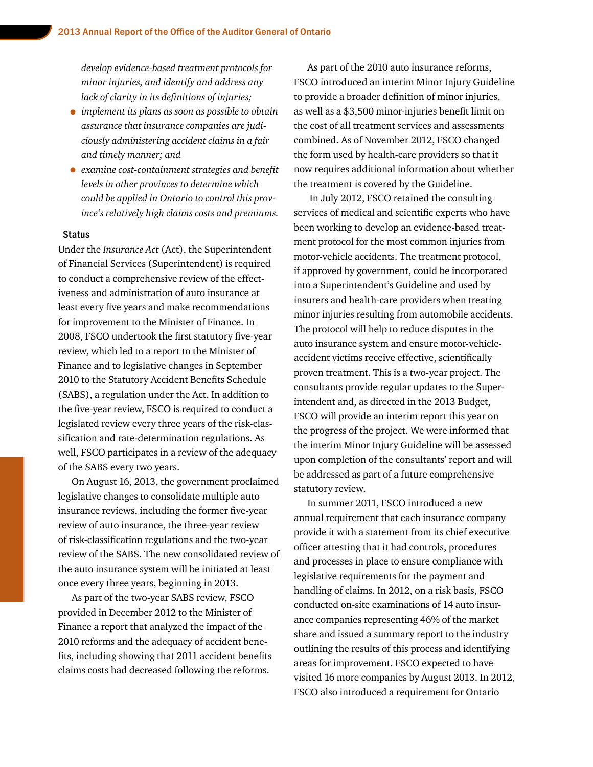*develop evidence-based treatment protocols for minor injuries, and identify and address any lack of clarity in its definitions of injuries;*

- *implement its plans as soon as possible to obtain assurance that insurance companies are judiciously administering accident claims in a fair and timely manner; and*
- *examine cost-containment strategies and benefit levels in other provinces to determine which could be applied in Ontario to control this province's relatively high claims costs and premiums.*

#### **Status**

Under the *Insurance Act* (Act), the Superintendent of Financial Services (Superintendent) is required to conduct a comprehensive review of the effectiveness and administration of auto insurance at least every five years and make recommendations for improvement to the Minister of Finance. In 2008, FSCO undertook the first statutory five-year review, which led to a report to the Minister of Finance and to legislative changes in September 2010 to the Statutory Accident Benefits Schedule (SABS), a regulation under the Act. In addition to the five-year review, FSCO is required to conduct a legislated review every three years of the risk-classification and rate-determination regulations. As well, FSCO participates in a review of the adequacy of the SABS every two years.

On August 16, 2013, the government proclaimed legislative changes to consolidate multiple auto insurance reviews, including the former five-year review of auto insurance, the three-year review of risk-classification regulations and the two-year review of the SABS. The new consolidated review of the auto insurance system will be initiated at least once every three years, beginning in 2013.

As part of the two-year SABS review, FSCO provided in December 2012 to the Minister of Finance a report that analyzed the impact of the 2010 reforms and the adequacy of accident benefits, including showing that 2011 accident benefits claims costs had decreased following the reforms.

As part of the 2010 auto insurance reforms, FSCO introduced an interim Minor Injury Guideline to provide a broader definition of minor injuries, as well as a \$3,500 minor-injuries benefit limit on the cost of all treatment services and assessments combined. As of November 2012, FSCO changed the form used by health-care providers so that it now requires additional information about whether the treatment is covered by the Guideline.

 In July 2012, FSCO retained the consulting services of medical and scientific experts who have been working to develop an evidence-based treatment protocol for the most common injuries from motor-vehicle accidents. The treatment protocol, if approved by government, could be incorporated into a Superintendent's Guideline and used by insurers and health-care providers when treating minor injuries resulting from automobile accidents. The protocol will help to reduce disputes in the auto insurance system and ensure motor-vehicleaccident victims receive effective, scientifically proven treatment. This is a two-year project. The consultants provide regular updates to the Superintendent and, as directed in the 2013 Budget, FSCO will provide an interim report this year on the progress of the project. We were informed that the interim Minor Injury Guideline will be assessed upon completion of the consultants' report and will be addressed as part of a future comprehensive statutory review.

In summer 2011, FSCO introduced a new annual requirement that each insurance company provide it with a statement from its chief executive officer attesting that it had controls, procedures and processes in place to ensure compliance with legislative requirements for the payment and handling of claims. In 2012, on a risk basis, FSCO conducted on-site examinations of 14 auto insurance companies representing 46% of the market share and issued a summary report to the industry outlining the results of this process and identifying areas for improvement. FSCO expected to have visited 16 more companies by August 2013. In 2012, FSCO also introduced a requirement for Ontario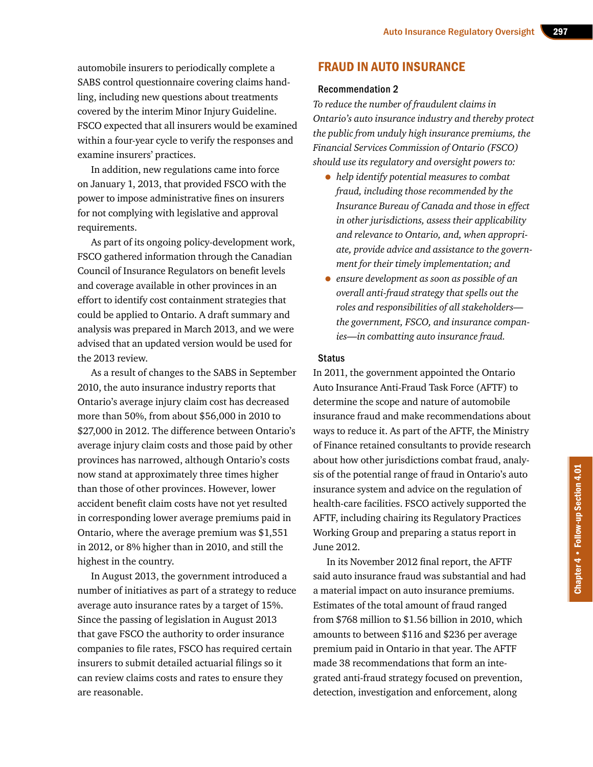automobile insurers to periodically complete a SABS control questionnaire covering claims handling, including new questions about treatments covered by the interim Minor Injury Guideline. FSCO expected that all insurers would be examined within a four-year cycle to verify the responses and examine insurers' practices.

In addition, new regulations came into force on January 1, 2013, that provided FSCO with the power to impose administrative fines on insurers for not complying with legislative and approval requirements.

As part of its ongoing policy-development work, FSCO gathered information through the Canadian Council of Insurance Regulators on benefit levels and coverage available in other provinces in an effort to identify cost containment strategies that could be applied to Ontario. A draft summary and analysis was prepared in March 2013, and we were advised that an updated version would be used for the 2013 review.

As a result of changes to the SABS in September 2010, the auto insurance industry reports that Ontario's average injury claim cost has decreased more than 50%, from about \$56,000 in 2010 to \$27,000 in 2012. The difference between Ontario's average injury claim costs and those paid by other provinces has narrowed, although Ontario's costs now stand at approximately three times higher than those of other provinces. However, lower accident benefit claim costs have not yet resulted in corresponding lower average premiums paid in Ontario, where the average premium was \$1,551 in 2012, or 8% higher than in 2010, and still the highest in the country.

In August 2013, the government introduced a number of initiatives as part of a strategy to reduce average auto insurance rates by a target of 15%. Since the passing of legislation in August 2013 that gave FSCO the authority to order insurance companies to file rates, FSCO has required certain insurers to submit detailed actuarial filings so it can review claims costs and rates to ensure they are reasonable.

#### FRAUD IN AUTO INSURANCE

#### Recommendation 2

*To reduce the number of fraudulent claims in Ontario's auto insurance industry and thereby protect the public from unduly high insurance premiums, the Financial Services Commission of Ontario (FSCO) should use its regulatory and oversight powers to:*

- *help identify potential measures to combat fraud, including those recommended by the Insurance Bureau of Canada and those in effect in other jurisdictions, assess their applicability and relevance to Ontario, and, when appropriate, provide advice and assistance to the government for their timely implementation; and*
- *ensure development as soon as possible of an overall anti-fraud strategy that spells out the roles and responsibilities of all stakeholders the government, FSCO, and insurance companies—in combatting auto insurance fraud.*

#### **Status**

In 2011, the government appointed the Ontario Auto Insurance Anti-Fraud Task Force (AFTF) to determine the scope and nature of automobile insurance fraud and make recommendations about ways to reduce it. As part of the AFTF, the Ministry of Finance retained consultants to provide research about how other jurisdictions combat fraud, analysis of the potential range of fraud in Ontario's auto insurance system and advice on the regulation of health-care facilities. FSCO actively supported the AFTF, including chairing its Regulatory Practices Working Group and preparing a status report in June 2012.

In its November 2012 final report, the AFTF said auto insurance fraud was substantial and had a material impact on auto insurance premiums. Estimates of the total amount of fraud ranged from \$768 million to \$1.56 billion in 2010, which amounts to between \$116 and \$236 per average premium paid in Ontario in that year. The AFTF made 38 recommendations that form an integrated anti-fraud strategy focused on prevention, detection, investigation and enforcement, along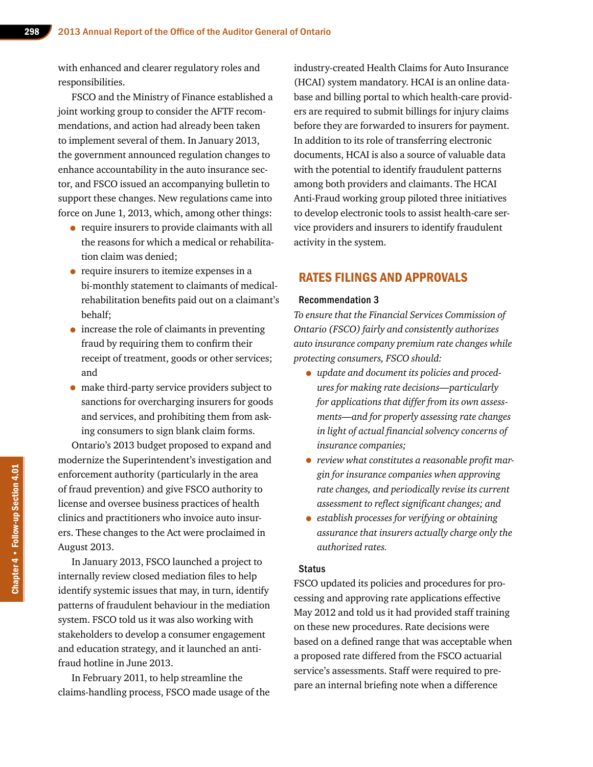with enhanced and clearer regulatory roles and responsibilities.

FSCO and the Ministry of Finance established a joint working group to consider the AFTF recommendations, and action had already been taken to implement several of them. In January 2013, the government announced regulation changes to enhance accountability in the auto insurance sector, and FSCO issued an accompanying bulletin to support these changes. New regulations came into force on June 1, 2013, which, among other things:

- require insurers to provide claimants with all the reasons for which a medical or rehabilitation claim was denied;
- require insurers to itemize expenses in a bi-monthly statement to claimants of medicalrehabilitation benefits paid out on a claimant's behalf;
- increase the role of claimants in preventing fraud by requiring them to confirm their receipt of treatment, goods or other services; and
- make third-party service providers subject to sanctions for overcharging insurers for goods and services, and prohibiting them from asking consumers to sign blank claim forms.

Ontario's 2013 budget proposed to expand and modernize the Superintendent's investigation and enforcement authority (particularly in the area of fraud prevention) and give FSCO authority to license and oversee business practices of health clinics and practitioners who invoice auto insurers. These changes to the Act were proclaimed in August 2013.

In January 2013, FSCO launched a project to internally review closed mediation files to help identify systemic issues that may, in turn, identify patterns of fraudulent behaviour in the mediation system. FSCO told us it was also working with stakeholders to develop a consumer engagement and education strategy, and it launched an antifraud hotline in June 2013.

In February 2011, to help streamline the claims-handling process, FSCO made usage of the industry-created Health Claims for Auto Insurance (HCAI) system mandatory. HCAI is an online database and billing portal to which health-care providers are required to submit billings for injury claims before they are forwarded to insurers for payment. In addition to its role of transferring electronic documents, HCAI is also a source of valuable data with the potential to identify fraudulent patterns among both providers and claimants. The HCAI Anti-Fraud working group piloted three initiatives to develop electronic tools to assist health-care service providers and insurers to identify fraudulent activity in the system.

#### RATES FILINGS AND APPROVALS

#### Recommendation 3

*To ensure that the Financial Services Commission of Ontario (FSCO) fairly and consistently authorizes auto insurance company premium rate changes while protecting consumers, FSCO should:*

- *update and document its policies and procedures for making rate decisions—particularly for applications that differ from its own assessments—and for properly assessing rate changes in light of actual financial solvency concerns of insurance companies;*
- *review what constitutes a reasonable profit margin for insurance companies when approving rate changes, and periodically revise its current assessment to reflect significant changes; and*
- *establish processes for verifying or obtaining assurance that insurers actually charge only the authorized rates.*

#### **Status**

FSCO updated its policies and procedures for processing and approving rate applications effective May 2012 and told us it had provided staff training on these new procedures. Rate decisions were based on a defined range that was acceptable when a proposed rate differed from the FSCO actuarial service's assessments. Staff were required to prepare an internal briefing note when a difference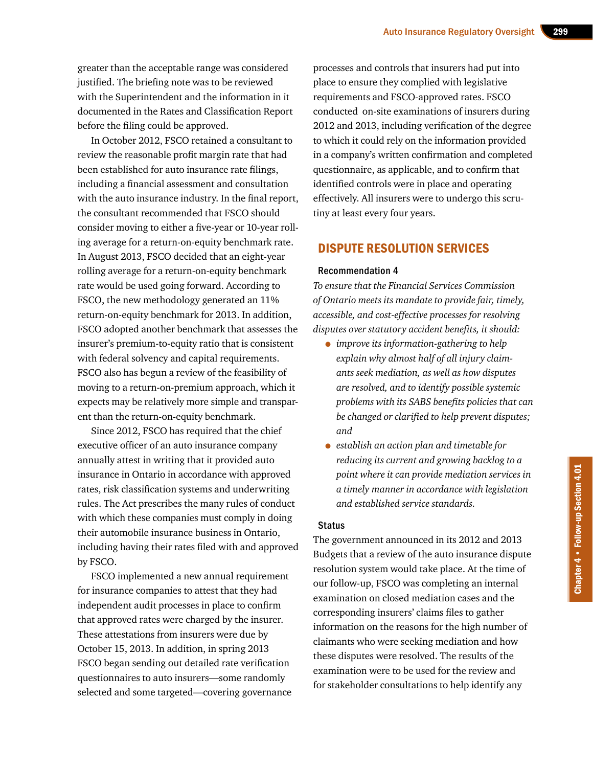greater than the acceptable range was considered justified. The briefing note was to be reviewed with the Superintendent and the information in it documented in the Rates and Classification Report before the filing could be approved.

In October 2012, FSCO retained a consultant to review the reasonable profit margin rate that had been established for auto insurance rate filings, including a financial assessment and consultation with the auto insurance industry. In the final report, the consultant recommended that FSCO should consider moving to either a five-year or 10-year rolling average for a return-on-equity benchmark rate. In August 2013, FSCO decided that an eight-year rolling average for a return-on-equity benchmark rate would be used going forward. According to FSCO, the new methodology generated an 11% return-on-equity benchmark for 2013. In addition, FSCO adopted another benchmark that assesses the insurer's premium-to-equity ratio that is consistent with federal solvency and capital requirements. FSCO also has begun a review of the feasibility of moving to a return-on-premium approach, which it expects may be relatively more simple and transparent than the return-on-equity benchmark.

Since 2012, FSCO has required that the chief executive officer of an auto insurance company annually attest in writing that it provided auto insurance in Ontario in accordance with approved rates, risk classification systems and underwriting rules. The Act prescribes the many rules of conduct with which these companies must comply in doing their automobile insurance business in Ontario, including having their rates filed with and approved by FSCO.

FSCO implemented a new annual requirement for insurance companies to attest that they had independent audit processes in place to confirm that approved rates were charged by the insurer. These attestations from insurers were due by October 15, 2013. In addition, in spring 2013 FSCO began sending out detailed rate verification questionnaires to auto insurers—some randomly selected and some targeted—covering governance

processes and controls that insurers had put into place to ensure they complied with legislative requirements and FSCO-approved rates. FSCO conducted on-site examinations of insurers during 2012 and 2013, including verification of the degree to which it could rely on the information provided in a company's written confirmation and completed questionnaire, as applicable, and to confirm that identified controls were in place and operating effectively. All insurers were to undergo this scrutiny at least every four years.

#### DISPUTE RESOLUTION SERVICES

#### Recommendation 4

*To ensure that the Financial Services Commission of Ontario meets its mandate to provide fair, timely, accessible, and cost-effective processes for resolving disputes over statutory accident benefits, it should:*

- *improve its information-gathering to help explain why almost half of all injury claimants seek mediation, as well as how disputes are resolved, and to identify possible systemic problems with its SABS benefits policies that can be changed or clarified to help prevent disputes; and*
- *establish an action plan and timetable for reducing its current and growing backlog to a point where it can provide mediation services in a timely manner in accordance with legislation and established service standards.*

#### **Status**

The government announced in its 2012 and 2013 Budgets that a review of the auto insurance dispute resolution system would take place. At the time of our follow-up, FSCO was completing an internal examination on closed mediation cases and the corresponding insurers' claims files to gather information on the reasons for the high number of claimants who were seeking mediation and how these disputes were resolved. The results of the examination were to be used for the review and for stakeholder consultations to help identify any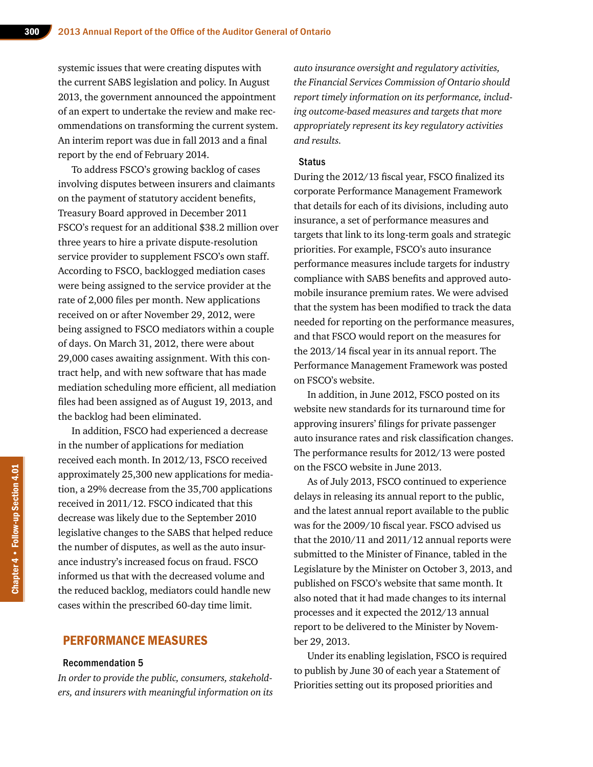systemic issues that were creating disputes with the current SABS legislation and policy. In August 2013, the government announced the appointment of an expert to undertake the review and make recommendations on transforming the current system. An interim report was due in fall 2013 and a final report by the end of February 2014.

To address FSCO's growing backlog of cases involving disputes between insurers and claimants on the payment of statutory accident benefits, Treasury Board approved in December 2011 FSCO's request for an additional \$38.2 million over three years to hire a private dispute-resolution service provider to supplement FSCO's own staff. According to FSCO, backlogged mediation cases were being assigned to the service provider at the rate of 2,000 files per month. New applications received on or after November 29, 2012, were being assigned to FSCO mediators within a couple of days. On March 31, 2012, there were about 29,000 cases awaiting assignment. With this contract help, and with new software that has made mediation scheduling more efficient, all mediation files had been assigned as of August 19, 2013, and the backlog had been eliminated.

In addition, FSCO had experienced a decrease in the number of applications for mediation received each month. In 2012/13, FSCO received approximately 25,300 new applications for mediation, a 29% decrease from the 35,700 applications received in 2011/12. FSCO indicated that this decrease was likely due to the September 2010 legislative changes to the SABS that helped reduce the number of disputes, as well as the auto insurance industry's increased focus on fraud. FSCO informed us that with the decreased volume and the reduced backlog, mediators could handle new cases within the prescribed 60-day time limit.

#### PERFORMANCE MEASURES

#### Recommendation 5

*In order to provide the public, consumers, stakeholders, and insurers with meaningful information on its*  *auto insurance oversight and regulatory activities, the Financial Services Commission of Ontario should report timely information on its performance, including outcome-based measures and targets that more appropriately represent its key regulatory activities and results.*

#### **Status**

During the 2012/13 fiscal year, FSCO finalized its corporate Performance Management Framework that details for each of its divisions, including auto insurance, a set of performance measures and targets that link to its long-term goals and strategic priorities. For example, FSCO's auto insurance performance measures include targets for industry compliance with SABS benefits and approved automobile insurance premium rates. We were advised that the system has been modified to track the data needed for reporting on the performance measures, and that FSCO would report on the measures for the 2013/14 fiscal year in its annual report. The Performance Management Framework was posted on FSCO's website.

In addition, in June 2012, FSCO posted on its website new standards for its turnaround time for approving insurers' filings for private passenger auto insurance rates and risk classification changes. The performance results for 2012/13 were posted on the FSCO website in June 2013.

As of July 2013, FSCO continued to experience delays in releasing its annual report to the public, and the latest annual report available to the public was for the 2009/10 fiscal year. FSCO advised us that the 2010/11 and 2011/12 annual reports were submitted to the Minister of Finance, tabled in the Legislature by the Minister on October 3, 2013, and published on FSCO's website that same month. It also noted that it had made changes to its internal processes and it expected the 2012/13 annual report to be delivered to the Minister by November 29, 2013.

Under its enabling legislation, FSCO is required to publish by June 30 of each year a Statement of Priorities setting out its proposed priorities and